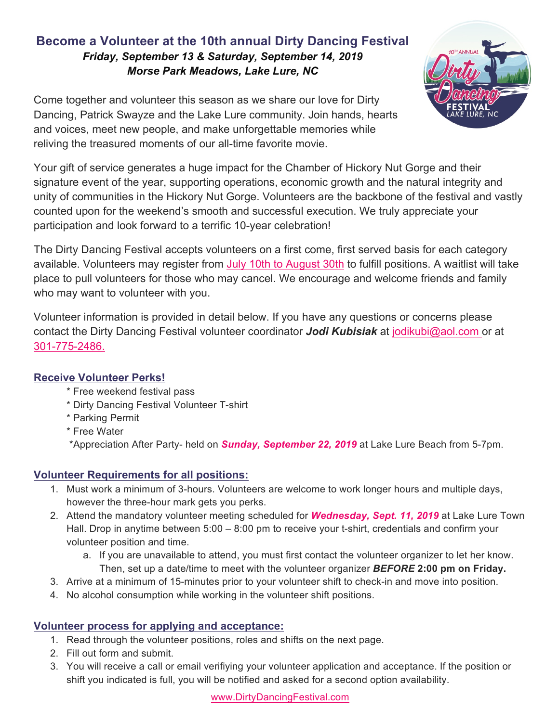# **Become a Volunteer at the 10th annual Dirty Dancing Festival** *Friday, September 13 & Saturday, September 14, 2019 Morse Park Meadows, Lake Lure, NC*



Come together and volunteer this season as we share our love for Dirty Dancing, Patrick Swayze and the Lake Lure community. Join hands, hearts and voices, meet new people, and make unforgettable memories while reliving the treasured moments of our all-time favorite movie.

Your gift of service generates a huge impact for the Chamber of Hickory Nut Gorge and their signature event of the year, supporting operations, economic growth and the natural integrity and unity of communities in the Hickory Nut Gorge. Volunteers are the backbone of the festival and vastly counted upon for the weekend's smooth and successful execution. We truly appreciate your participation and look forward to a terrific 10-year celebration!

The Dirty Dancing Festival accepts volunteers on a first come, first served basis for each category available. Volunteers may register from July 10th to August 30th to fulfill positions. A waitlist will take place to pull volunteers for those who may cancel. We encourage and welcome friends and family who may want to volunteer with you.

Volunteer information is provided in detail below. If you have any questions or concerns please contact the Dirty Dancing Festival volunteer coordinator *Jodi Kubisiak* at jodikubi@aol.com or at 301-775-2486.

## **Receive Volunteer Perks!**

- \* Free weekend festival pass
- \* Dirty Dancing Festival Volunteer T-shirt
- \* Parking Permit
- \* Free Water

\*Appreciation After Party- held on *Sunday, September 22, 2019* at Lake Lure Beach from 5-7pm.

# **Volunteer Requirements for all positions:**

- 1. Must work a minimum of 3-hours. Volunteers are welcome to work longer hours and multiple days, however the three-hour mark gets you perks.
- 2. Attend the mandatory volunteer meeting scheduled for *Wednesday, Sept. 11, 2019* at Lake Lure Town Hall. Drop in anytime between 5:00 – 8:00 pm to receive your t-shirt, credentials and confirm your volunteer position and time.
	- a. If you are unavailable to attend, you must first contact the volunteer organizer to let her know. Then, set up a date/time to meet with the volunteer organizer *BEFORE* **2:00 pm on Friday.**
- 3. Arrive at a minimum of 15-minutes prior to your volunteer shift to check-in and move into position.
- 4. No alcohol consumption while working in the volunteer shift positions.

# **Volunteer process for applying and acceptance:**

- 1. Read through the volunteer positions, roles and shifts on the next page.
- 2. Fill out form and submit.
- 3. You will receive a call or email verifiying your volunteer application and acceptance. If the position or shift you indicated is full, you will be notified and asked for a second option availability.

www.DirtyDancingFestival.com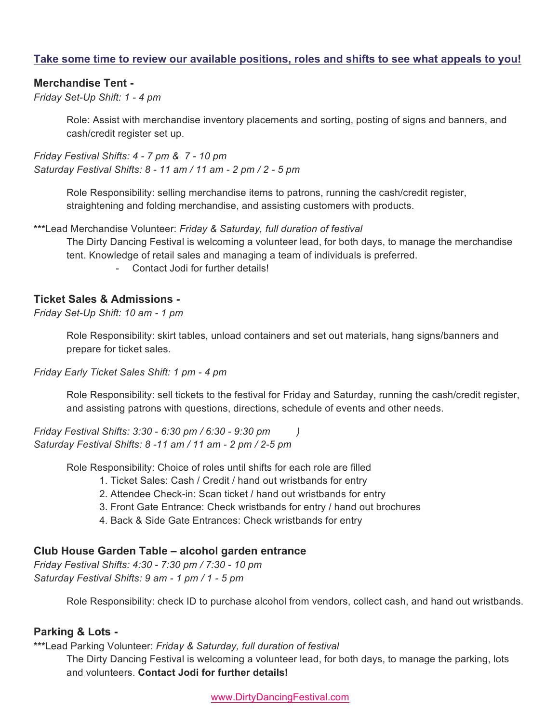### **Take some time to review our available positions, roles and shifts to see what appeals to you!**

### **Merchandise Tent -**

*Friday Set-Up Shift: 1 - 4 pm*

Role: Assist with merchandise inventory placements and sorting, posting of signs and banners, and cash/credit register set up.

*Friday Festival Shifts: 4 - 7 pm & 7 - 10 pm Saturday Festival Shifts: 8 - 11 am / 11 am - 2 pm / 2 - 5 pm*

> Role Responsibility: selling merchandise items to patrons, running the cash/credit register, straightening and folding merchandise, and assisting customers with products.

**\*\*\***Lead Merchandise Volunteer: *Friday & Saturday, full duration of festival* 

The Dirty Dancing Festival is welcoming a volunteer lead, for both days, to manage the merchandise tent. Knowledge of retail sales and managing a team of individuals is preferred.

- Contact Jodi for further details!

### **Ticket Sales & Admissions -**

*Friday Set-Up Shift: 10 am - 1 pm*

Role Responsibility: skirt tables, unload containers and set out materials, hang signs/banners and prepare for ticket sales.

*Friday Early Ticket Sales Shift: 1 pm - 4 pm*

Role Responsibility: sell tickets to the festival for Friday and Saturday, running the cash/credit register, and assisting patrons with questions, directions, schedule of events and other needs.

*Friday Festival Shifts: 3:30 - 6:30 pm / 6:30 - 9:30 pm ) Saturday Festival Shifts: 8 -11 am / 11 am - 2 pm / 2-5 pm*

Role Responsibility: Choice of roles until shifts for each role are filled

- 1. Ticket Sales: Cash / Credit / hand out wristbands for entry
- 2. Attendee Check-in: Scan ticket / hand out wristbands for entry
- 3. Front Gate Entrance: Check wristbands for entry / hand out brochures
- 4. Back & Side Gate Entrances: Check wristbands for entry

#### **Club House Garden Table – alcohol garden entrance**

*Friday Festival Shifts: 4:30 - 7:30 pm / 7:30 - 10 pm Saturday Festival Shifts: 9 am - 1 pm / 1 - 5 pm*

Role Responsibility: check ID to purchase alcohol from vendors, collect cash, and hand out wristbands.

#### **Parking & Lots -**

**\*\*\***Lead Parking Volunteer: *Friday & Saturday, full duration of festival* 

The Dirty Dancing Festival is welcoming a volunteer lead, for both days, to manage the parking, lots and volunteers. **Contact Jodi for further details!**

www.DirtyDancingFestival.com